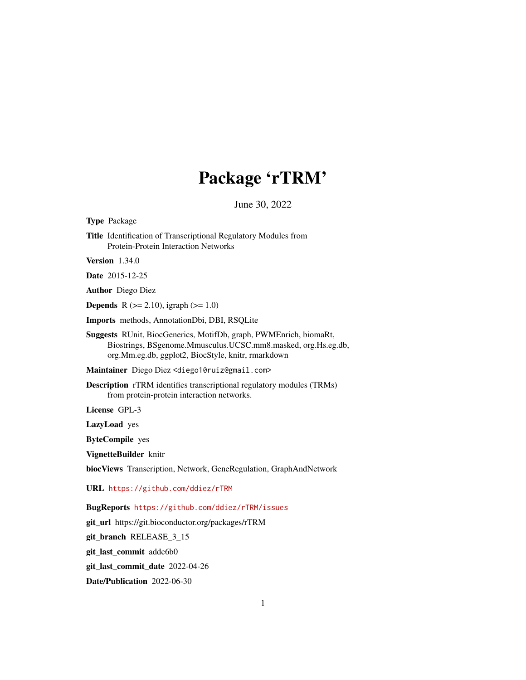# Package 'rTRM'

June 30, 2022

Type Package Title Identification of Transcriptional Regulatory Modules from Protein-Protein Interaction Networks Version 1.34.0 Date 2015-12-25 Author Diego Diez **Depends** R ( $>= 2.10$ ), igraph ( $>= 1.0$ ) Imports methods, AnnotationDbi, DBI, RSQLite Suggests RUnit, BiocGenerics, MotifDb, graph, PWMEnrich, biomaRt, Biostrings, BSgenome.Mmusculus.UCSC.mm8.masked, org.Hs.eg.db, org.Mm.eg.db, ggplot2, BiocStyle, knitr, rmarkdown Maintainer Diego Diez <diego10ruiz@gmail.com> Description rTRM identifies transcriptional regulatory modules (TRMs) from protein-protein interaction networks. License GPL-3 LazyLoad yes ByteCompile yes VignetteBuilder knitr biocViews Transcription, Network, GeneRegulation, GraphAndNetwork URL <https://github.com/ddiez/rTRM> BugReports <https://github.com/ddiez/rTRM/issues> git\_url https://git.bioconductor.org/packages/rTRM git\_branch RELEASE\_3\_15 git\_last\_commit addc6b0

git\_last\_commit\_date 2022-04-26

Date/Publication 2022-06-30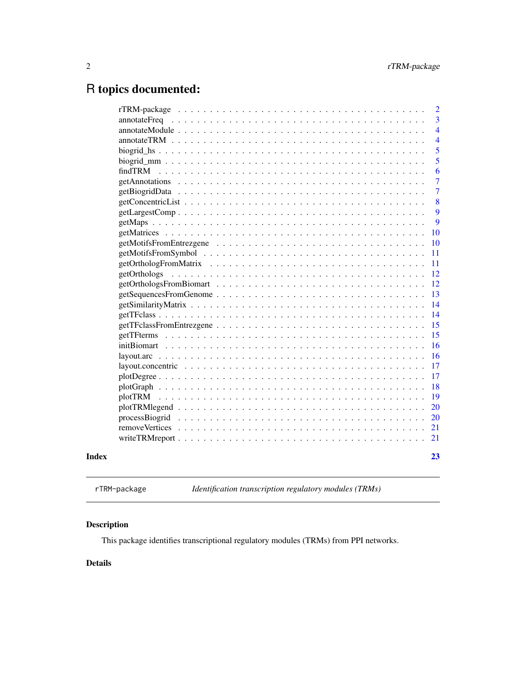# <span id="page-1-0"></span>R topics documented:

|       |                                                                                                                                                   | $\overline{2}$ |
|-------|---------------------------------------------------------------------------------------------------------------------------------------------------|----------------|
|       |                                                                                                                                                   | 3              |
|       |                                                                                                                                                   | $\overline{4}$ |
|       |                                                                                                                                                   | $\overline{4}$ |
|       |                                                                                                                                                   | 5              |
|       |                                                                                                                                                   | 5              |
|       |                                                                                                                                                   | 6              |
|       |                                                                                                                                                   | $\overline{7}$ |
|       |                                                                                                                                                   | $\overline{7}$ |
|       |                                                                                                                                                   | 8              |
|       |                                                                                                                                                   | 9              |
|       |                                                                                                                                                   | 9              |
|       |                                                                                                                                                   | 10             |
|       |                                                                                                                                                   | 10             |
|       |                                                                                                                                                   | 11             |
|       |                                                                                                                                                   | 11             |
|       |                                                                                                                                                   | 12             |
|       |                                                                                                                                                   | 12             |
|       |                                                                                                                                                   | 13             |
|       |                                                                                                                                                   | 14             |
|       |                                                                                                                                                   | 14             |
|       |                                                                                                                                                   | 15             |
|       | getTFterms                                                                                                                                        | 15             |
|       |                                                                                                                                                   | 16             |
|       |                                                                                                                                                   | 16             |
|       | $layout.concurrent$ $\ldots$ $\ldots$ $\ldots$ $\ldots$ $\ldots$ $\ldots$ $\ldots$ $\ldots$ $\ldots$ $\ldots$ $\ldots$ $\ldots$ $\ldots$ $\ldots$ | 17             |
|       |                                                                                                                                                   | 17             |
|       |                                                                                                                                                   | 18             |
|       |                                                                                                                                                   | 19             |
|       |                                                                                                                                                   | 20             |
|       |                                                                                                                                                   | 20             |
|       |                                                                                                                                                   | 21             |
|       |                                                                                                                                                   | 21             |
| Index |                                                                                                                                                   | 23             |

rTRM-package *Identification transcription regulatory modules (TRMs)*

# Description

This package identifies transcriptional regulatory modules (TRMs) from PPI networks.

# Details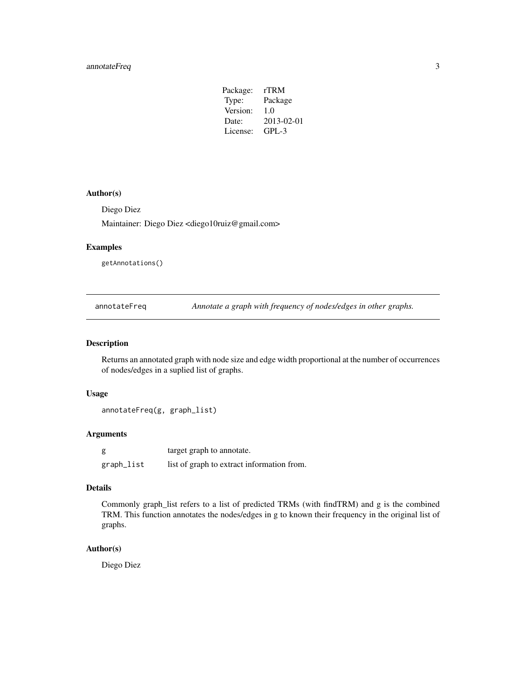# <span id="page-2-0"></span>annotateFreq 3

| Package: | rTRM       |
|----------|------------|
| Type:    | Package    |
| Version: | 1.0        |
| Date:    | 2013-02-01 |
| License: | $GPI - 3$  |
|          |            |

# Author(s)

Diego Diez

Maintainer: Diego Diez <diego10ruiz@gmail.com>

# Examples

getAnnotations()

annotateFreq *Annotate a graph with frequency of nodes/edges in other graphs.*

#### Description

Returns an annotated graph with node size and edge width proportional at the number of occurrences of nodes/edges in a suplied list of graphs.

#### Usage

annotateFreq(g, graph\_list)

# Arguments

| g          | target graph to annotate.                  |
|------------|--------------------------------------------|
| graph_list | list of graph to extract information from. |

#### Details

Commonly graph\_list refers to a list of predicted TRMs (with findTRM) and g is the combined TRM. This function annotates the nodes/edges in g to known their frequency in the original list of graphs.

# Author(s)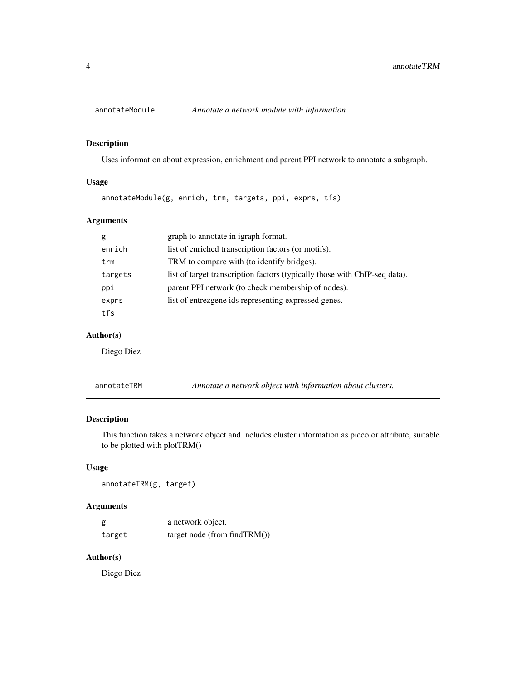<span id="page-3-0"></span>

Uses information about expression, enrichment and parent PPI network to annotate a subgraph.

# Usage

annotateModule(g, enrich, trm, targets, ppi, exprs, tfs)

# Arguments

| g       | graph to annotate in igraph format.                                        |
|---------|----------------------------------------------------------------------------|
| enrich  | list of enriched transcription factors (or motifs).                        |
| trm     | TRM to compare with (to identify bridges).                                 |
| targets | list of target transcription factors (typically those with ChIP-seq data). |
| ppi     | parent PPI network (to check membership of nodes).                         |
| exprs   | list of entrezgene ids representing expressed genes.                       |
| tfs     |                                                                            |

# Author(s)

Diego Diez

| annotateTRM | Annotate a network object with information about clusters. |
|-------------|------------------------------------------------------------|
|-------------|------------------------------------------------------------|

#### Description

This function takes a network object and includes cluster information as piecolor attribute, suitable to be plotted with plotTRM()

# Usage

annotateTRM(g, target)

# Arguments

| g      | a network object.                |
|--------|----------------------------------|
| target | target node (from find $TRM()$ ) |

# Author(s)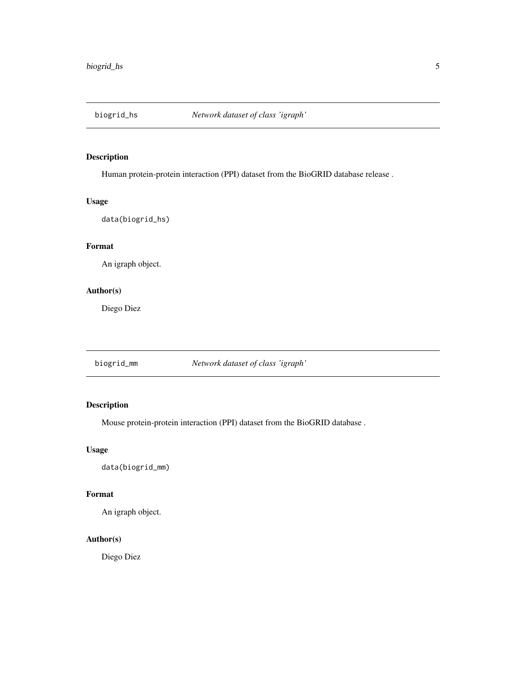<span id="page-4-0"></span>

Human protein-protein interaction (PPI) dataset from the BioGRID database release .

# Usage

data(biogrid\_hs)

# Format

An igraph object.

#### Author(s)

Diego Diez

biogrid\_mm *Network dataset of class 'igraph'*

# Description

Mouse protein-protein interaction (PPI) dataset from the BioGRID database .

#### Usage

data(biogrid\_mm)

# Format

An igraph object.

#### Author(s)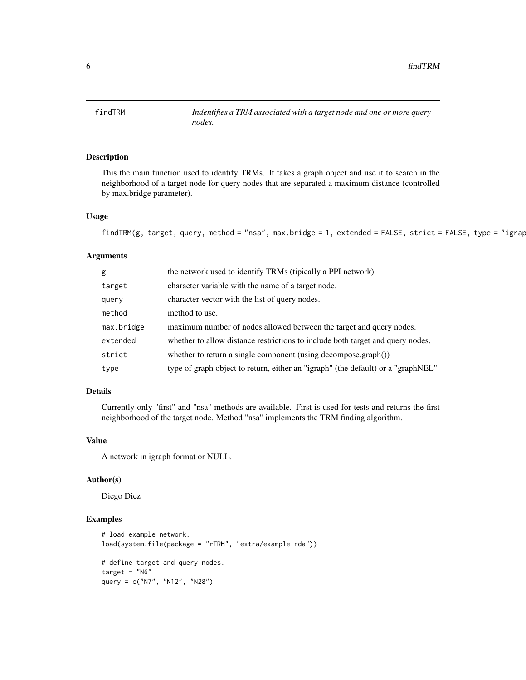<span id="page-5-0"></span>findTRM *Indentifies a TRM associated with a target node and one or more query nodes.*

# Description

This the main function used to identify TRMs. It takes a graph object and use it to search in the neighborhood of a target node for query nodes that are separated a maximum distance (controlled by max.bridge parameter).

#### Usage

```
findTRM(g, target, query, method = "nsa", max.bridge = 1, extended = FALSE, strict = FALSE, type = "igrap
```
#### Arguments

| g          | the network used to identify TRMs (tipically a PPI network)                      |
|------------|----------------------------------------------------------------------------------|
| target     | character variable with the name of a target node.                               |
| query      | character vector with the list of query nodes.                                   |
| method     | method to use.                                                                   |
| max.bridge | maximum number of nodes allowed between the target and query nodes.              |
| extended   | whether to allow distance restrictions to include both target and query nodes.   |
| strict     | whether to return a single component (using decompose.graph())                   |
| type       | type of graph object to return, either an "igraph" (the default) or a "graphNEL" |

#### Details

Currently only "first" and "nsa" methods are available. First is used for tests and returns the first neighborhood of the target node. Method "nsa" implements the TRM finding algorithm.

#### Value

A network in igraph format or NULL.

#### Author(s)

Diego Diez

#### Examples

```
# load example network.
load(system.file(package = "rTRM", "extra/example.rda"))
# define target and query nodes.
target = "N6"query = c("N7", "N12", "N28")
```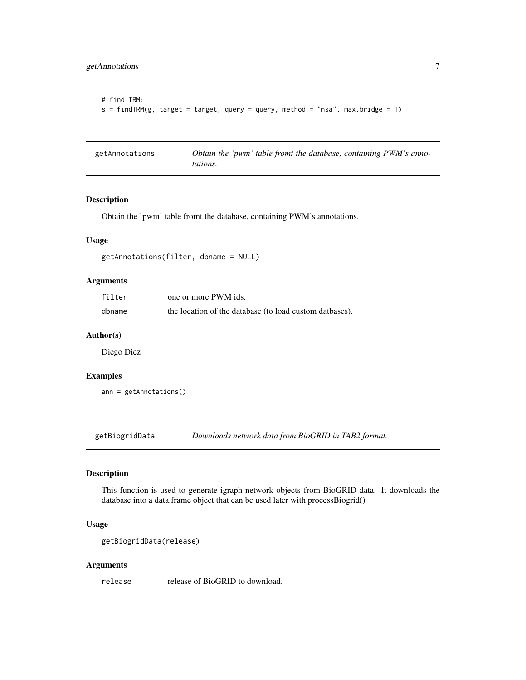```
# find TRM:
s = findTRM(g, target = target, query = query, method = "nsa", max.bridge = 1)
```

| getAnnotations | Obtain the 'pwm' table fromt the database, containing PWM's anno- |
|----------------|-------------------------------------------------------------------|
|                | tations.                                                          |

Obtain the 'pwm' table fromt the database, containing PWM's annotations.

#### Usage

```
getAnnotations(filter, dbname = NULL)
```
# Arguments

| filter | one or more PWM ids.                                    |
|--------|---------------------------------------------------------|
| dbname | the location of the database (to load custom datbases). |

#### Author(s)

Diego Diez

#### Examples

ann = getAnnotations()

getBiogridData *Downloads network data from BioGRID in TAB2 format.*

# Description

This function is used to generate igraph network objects from BioGRID data. It downloads the database into a data.frame object that can be used later with processBiogrid()

#### Usage

```
getBiogridData(release)
```
#### Arguments

release release of BioGRID to download.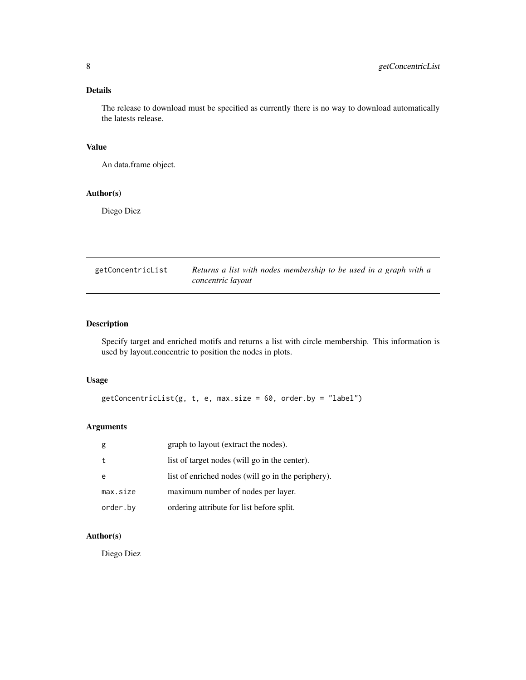# <span id="page-7-0"></span>Details

The release to download must be specified as currently there is no way to download automatically the latests release.

# Value

An data.frame object.

# Author(s)

Diego Diez

| getConcentricList | Returns a list with nodes membership to be used in a graph with a |
|-------------------|-------------------------------------------------------------------|
|                   | concentric layout                                                 |

# Description

Specify target and enriched motifs and returns a list with circle membership. This information is used by layout.concentric to position the nodes in plots.

#### Usage

 $getConcentrickist(g, t, e, max.size = 60, order.by = "label")$ 

# Arguments

| g        | graph to layout (extract the nodes).               |
|----------|----------------------------------------------------|
|          | list of target nodes (will go in the center).      |
| e        | list of enriched nodes (will go in the periphery). |
| max.size | maximum number of nodes per layer.                 |
| order.by | ordering attribute for list before split.          |

# Author(s)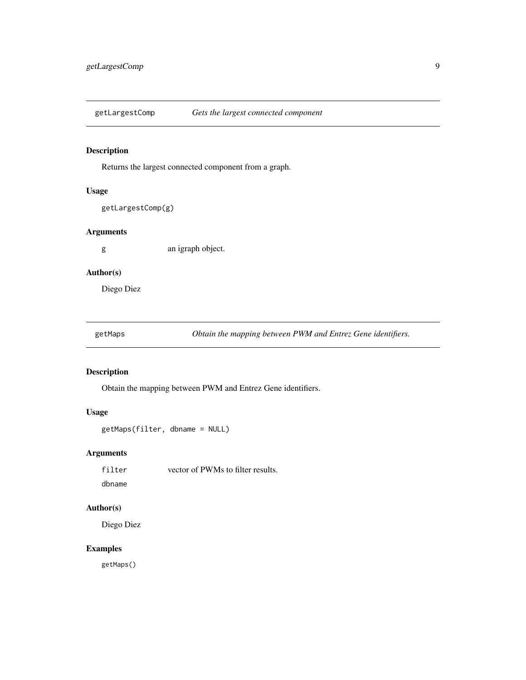<span id="page-8-0"></span>getLargestComp *Gets the largest connected component*

# Description

Returns the largest connected component from a graph.

#### Usage

getLargestComp(g)

#### Arguments

g an igraph object.

# Author(s)

Diego Diez

| getMaps |  |
|---------|--|
|         |  |

Obtain the mapping between PWM and Entrez Gene identifiers.

# Description

Obtain the mapping between PWM and Entrez Gene identifiers.

#### Usage

```
getMaps(filter, dbname = NULL)
```
# Arguments

filter vector of PWMs to filter results.

dbname

# Author(s)

Diego Diez

# Examples

getMaps()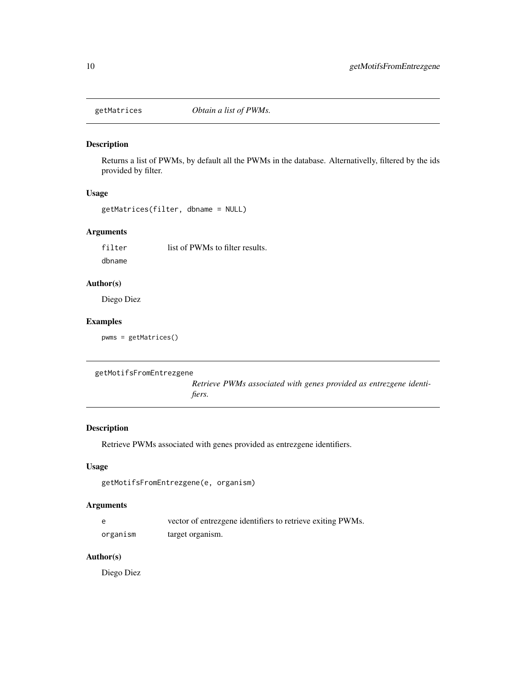<span id="page-9-0"></span>

Returns a list of PWMs, by default all the PWMs in the database. Alternativelly, filtered by the ids provided by filter.

# Usage

```
getMatrices(filter, dbname = NULL)
```
# Arguments

filter list of PWMs to filter results. dbname

# Author(s)

Diego Diez

# Examples

pwms = getMatrices()

```
getMotifsFromEntrezgene
```
*Retrieve PWMs associated with genes provided as entrezgene identifiers.*

#### Description

Retrieve PWMs associated with genes provided as entrezgene identifiers.

# Usage

```
getMotifsFromEntrezgene(e, organism)
```
# Arguments

|          | vector of entrezgene identifiers to retrieve exiting PWMs. |
|----------|------------------------------------------------------------|
| organism | target organism.                                           |

#### Author(s)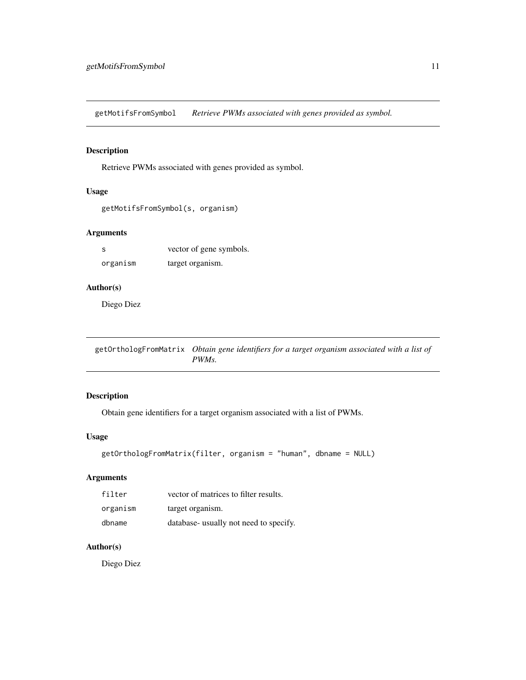<span id="page-10-0"></span>getMotifsFromSymbol *Retrieve PWMs associated with genes provided as symbol.*

# Description

Retrieve PWMs associated with genes provided as symbol.

#### Usage

```
getMotifsFromSymbol(s, organism)
```
#### Arguments

| - S      | vector of gene symbols. |
|----------|-------------------------|
| organism | target organism.        |

#### Author(s)

Diego Diez

getOrthologFromMatrix *Obtain gene identifiers for a target organism associated with a list of PWMs.*

# Description

Obtain gene identifiers for a target organism associated with a list of PWMs.

# Usage

```
getOrthologFromMatrix(filter, organism = "human", dbname = NULL)
```
# Arguments

| filter   | vector of matrices to filter results.  |
|----------|----------------------------------------|
| organism | target organism.                       |
| dbname   | database- usually not need to specify. |

# Author(s)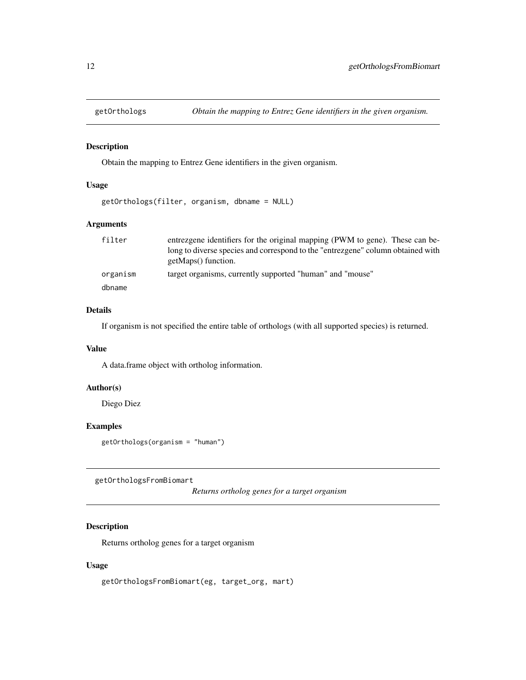<span id="page-11-0"></span>

Obtain the mapping to Entrez Gene identifiers in the given organism.

#### Usage

getOrthologs(filter, organism, dbname = NULL)

# Arguments

| filter   | entrezgene identifiers for the original mapping (PWM to gene). These can be-<br>long to diverse species and correspond to the "entrezgene" column obtained with |
|----------|-----------------------------------------------------------------------------------------------------------------------------------------------------------------|
|          | getMaps() function.                                                                                                                                             |
| organism | target organisms, currently supported "human" and "mouse"                                                                                                       |
| dbname   |                                                                                                                                                                 |

#### Details

If organism is not specified the entire table of orthologs (with all supported species) is returned.

#### Value

A data.frame object with ortholog information.

# Author(s)

Diego Diez

#### Examples

getOrthologs(organism = "human")

getOrthologsFromBiomart

*Returns ortholog genes for a target organism*

# Description

Returns ortholog genes for a target organism

# Usage

getOrthologsFromBiomart(eg, target\_org, mart)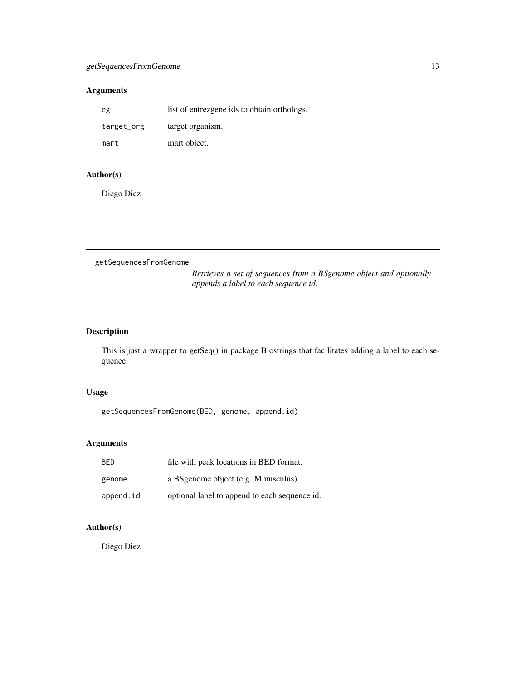# <span id="page-12-0"></span>Arguments

| eg         | list of entrezgene ids to obtain orthologs. |
|------------|---------------------------------------------|
| target_org | target organism.                            |
| mart       | mart object.                                |

# Author(s)

Diego Diez

getSequencesFromGenome *Retrieves a set of sequences from a BSgenome object and optionally appends a label to each sequence id.*

# Description

This is just a wrapper to getSeq() in package Biostrings that facilitates adding a label to each sequence.

### Usage

getSequencesFromGenome(BED, genome, append.id)

# Arguments

| <b>BED</b> | file with peak locations in BED format.       |
|------------|-----------------------------------------------|
| genome     | a BS genome object (e.g. Mmusculus)           |
| append.id  | optional label to append to each sequence id. |

# Author(s)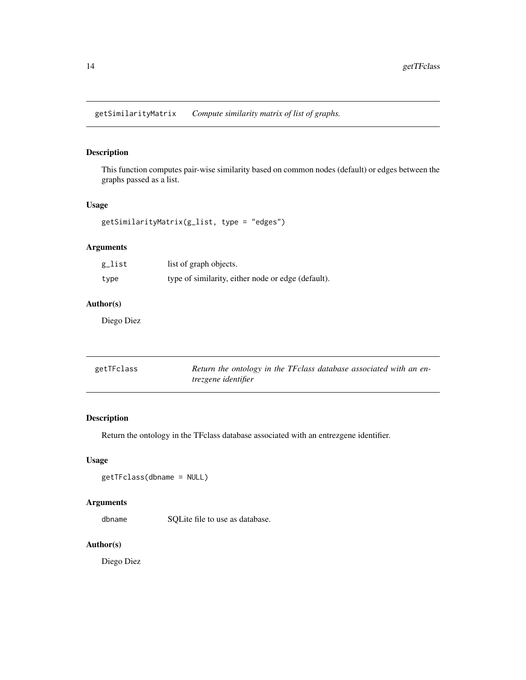<span id="page-13-0"></span>getSimilarityMatrix *Compute similarity matrix of list of graphs.*

# Description

This function computes pair-wise similarity based on common nodes (default) or edges between the graphs passed as a list.

#### Usage

getSimilarityMatrix(g\_list, type = "edges")

# Arguments

| g_list | list of graph objects.                             |
|--------|----------------------------------------------------|
| type   | type of similarity, either node or edge (default). |

# Author(s)

Diego Diez

| getTFclass | Return the ontology in the TF class database associated with an en- |
|------------|---------------------------------------------------------------------|
|            | <i>trezgene identifier</i>                                          |

# Description

Return the ontology in the TFclass database associated with an entrezgene identifier.

# Usage

getTFclass(dbname = NULL)

# Arguments

dbname SQLite file to use as database.

#### Author(s)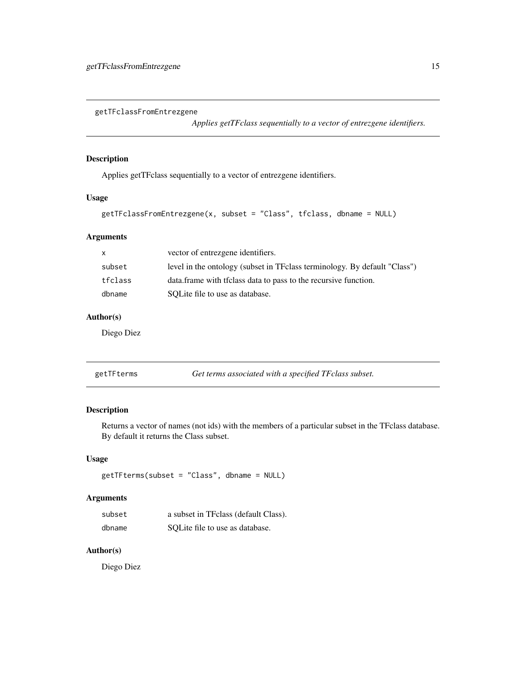<span id="page-14-0"></span>getTFclassFromEntrezgene

*Applies getTFclass sequentially to a vector of entrezgene identifiers.*

# Description

Applies getTFclass sequentially to a vector of entrezgene identifiers.

# Usage

```
getTFclassFromEntrezgene(x, subset = "Class", tfclass, dbname = NULL)
```
# Arguments

| $\mathsf{x}$ | vector of entrezgene identifiers.                                          |
|--------------|----------------------------------------------------------------------------|
| subset       | level in the ontology (subset in TF class terminology. By default "Class") |
| tfclass      | data. frame with the results data to pass to the recursive function.       |
| dbname       | SOLite file to use as database.                                            |

# Author(s)

Diego Diez

| getTFterms | Get terms associated with a specified TFclass subset. |
|------------|-------------------------------------------------------|
|------------|-------------------------------------------------------|

# Description

Returns a vector of names (not ids) with the members of a particular subset in the TFclass database. By default it returns the Class subset.

# Usage

getTFterms(subset = "Class", dbname = NULL)

#### Arguments

| subset | a subset in TF class (default Class). |
|--------|---------------------------------------|
| dbname | SOLite file to use as database.       |

# Author(s)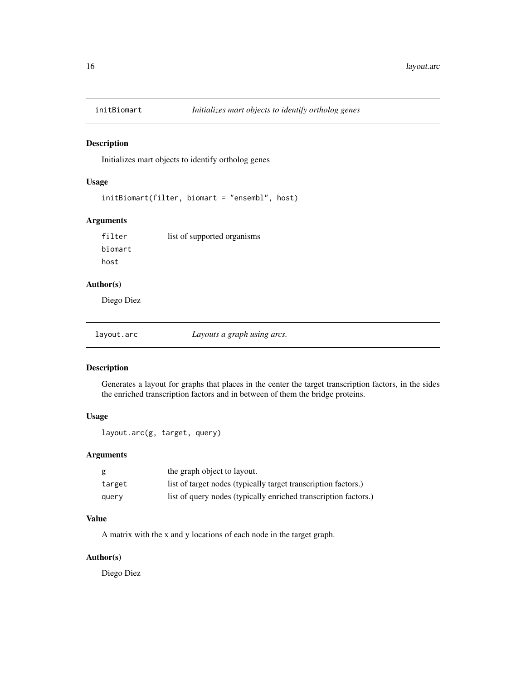<span id="page-15-0"></span>

Initializes mart objects to identify ortholog genes

#### Usage

initBiomart(filter, biomart = "ensembl", host)

# Arguments

filter list of supported organisms biomart host

#### Author(s)

Diego Diez

layout.arc *Layouts a graph using arcs.*

# Description

Generates a layout for graphs that places in the center the target transcription factors, in the sides the enriched transcription factors and in between of them the bridge proteins.

#### Usage

layout.arc(g, target, query)

#### Arguments

|        | the graph object to layout.                                     |
|--------|-----------------------------------------------------------------|
| target | list of target nodes (typically target transcription factors.)  |
| query  | list of query nodes (typically enriched transcription factors.) |

#### Value

A matrix with the x and y locations of each node in the target graph.

#### Author(s)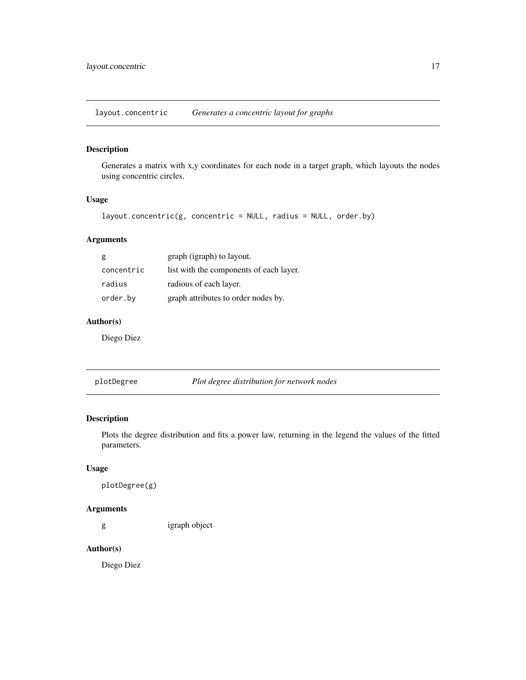<span id="page-16-0"></span>layout.concentric *Generates a concentric layout for graphs*

# Description

Generates a matrix with x,y coordinates for each node in a target graph, which layouts the nodes using concentric circles.

# Usage

```
layout.concentric(g, concentric = NULL, radius = NULL, order.by)
```
# Arguments

| g          | graph (igraph) to layout.               |
|------------|-----------------------------------------|
| concentric | list with the components of each layer. |
| radius     | radious of each layer.                  |
| order.by   | graph attributes to order nodes by.     |

# Author(s)

Diego Diez

plotDegree *Plot degree distribution for network nodes*

# Description

Plots the degree distribution and fits a power law, returning in the legend the values of the fitted parameters.

#### Usage

plotDegree(g)

# Arguments

g igraph object

#### Author(s)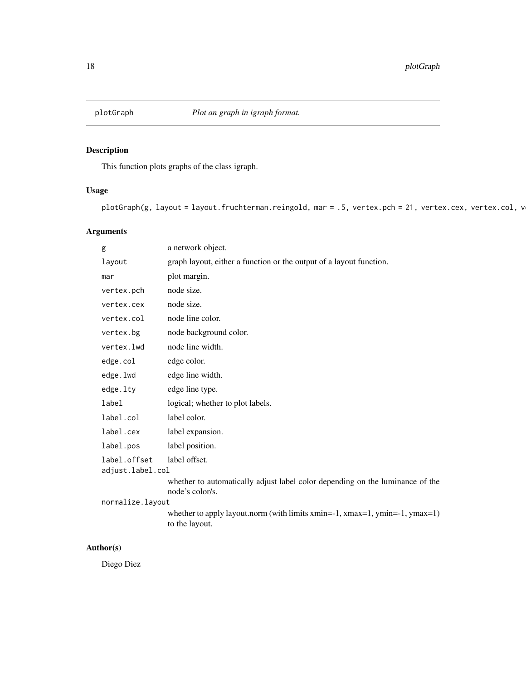<span id="page-17-0"></span>

This function plots graphs of the class igraph.

# Usage

plotGraph(g, layout = layout.fruchterman.reingold, mar = .5, vertex.pch = 21, vertex.cex, vertex.col, v

# Arguments

| g                                | a network object.                                                                                             |
|----------------------------------|---------------------------------------------------------------------------------------------------------------|
| layout                           | graph layout, either a function or the output of a layout function.                                           |
| mar                              | plot margin.                                                                                                  |
| vertex.pch                       | node size.                                                                                                    |
| vertex.cex                       | node size.                                                                                                    |
| vertex.col                       | node line color.                                                                                              |
| vertex.bg                        | node background color.                                                                                        |
| vertex.lwd                       | node line width.                                                                                              |
| edge.col                         | edge color.                                                                                                   |
| edge.lwd                         | edge line width.                                                                                              |
| edge.lty                         | edge line type.                                                                                               |
| label                            | logical; whether to plot labels.                                                                              |
| label.col                        | label color.                                                                                                  |
| label.cex                        | label expansion.                                                                                              |
| label.pos                        | label position.                                                                                               |
| label.offset<br>adjust.label.col | label offset.                                                                                                 |
|                                  | whether to automatically adjust label color depending on the luminance of the<br>node's color/s.              |
| normalize.layout                 |                                                                                                               |
|                                  | whether to apply layout.norm (with limits xmin= $-1$ , xmax= $1$ , ymin= $-1$ , ymax= $1$ )<br>to the layout. |
|                                  |                                                                                                               |

# Author(s)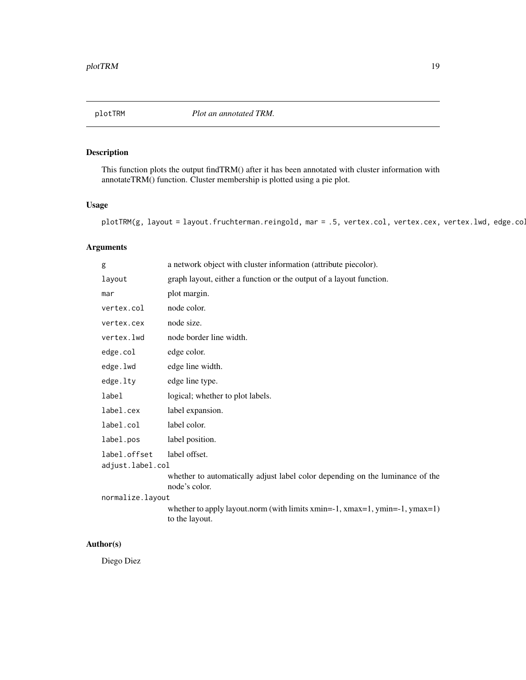<span id="page-18-0"></span>plotTRM *Plot an annotated TRM.*

# Description

This function plots the output findTRM() after it has been annotated with cluster information with annotateTRM() function. Cluster membership is plotted using a pie plot.

# Usage

```
plotTRM(g, layout = layout.fruchterman.reingold, mar = .5, vertex.col, vertex.cex, vertex.lwd, edge.co.
```
# Arguments

| g                                | a network object with cluster information (attribute piecolor).                                               |
|----------------------------------|---------------------------------------------------------------------------------------------------------------|
| layout                           | graph layout, either a function or the output of a layout function.                                           |
| mar                              | plot margin.                                                                                                  |
| vertex.col                       | node color.                                                                                                   |
| vertex.cex                       | node size.                                                                                                    |
| vertex.lwd                       | node border line width.                                                                                       |
| edge.col                         | edge color.                                                                                                   |
| edge.lwd                         | edge line width.                                                                                              |
| edge.lty                         | edge line type.                                                                                               |
| label                            | logical; whether to plot labels.                                                                              |
| label.cex                        | label expansion.                                                                                              |
| label.col                        | label color.                                                                                                  |
| label.pos                        | label position.                                                                                               |
| label.offset<br>adjust.label.col | label offset.                                                                                                 |
|                                  | whether to automatically adjust label color depending on the luminance of the<br>node's color.                |
| normalize.layout                 |                                                                                                               |
|                                  | whether to apply layout.norm (with limits xmin= $-1$ , xmax= $1$ , ymin= $-1$ , ymax= $1$ )<br>to the layout. |

# Author(s)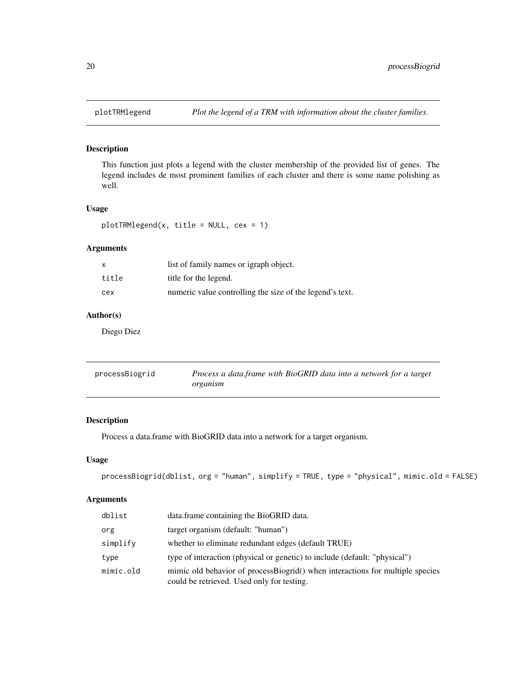<span id="page-19-0"></span>

This function just plots a legend with the cluster membership of the provided list of genes. The legend includes de most prominent families of each cluster and there is some name polishing as well.

#### Usage

```
plotTRMlegend(x, title = NULL, cex = 1)
```
# Arguments

|       | list of family names or igraph object.                   |
|-------|----------------------------------------------------------|
| title | title for the legend.                                    |
| cex   | numeric value controlling the size of the legend's text. |

# Author(s)

Diego Diez

| processBiogrid | Process a data frame with BioGRID data into a network for a target |
|----------------|--------------------------------------------------------------------|
|                | organism                                                           |

# Description

Process a data.frame with BioGRID data into a network for a target organism.

#### Usage

```
processBiogrid(dblist, org = "human", simplify = TRUE, type = "physical", mimic.old = FALSE)
```
# Arguments

| dblist    | data.frame containing the BioGRID data.                                                                                     |
|-----------|-----------------------------------------------------------------------------------------------------------------------------|
| org       | target organism (default: "human")                                                                                          |
| simplify  | whether to eliminate redundant edges (default TRUE)                                                                         |
| type      | type of interaction (physical or genetic) to include (default: "physical")                                                  |
| mimic.old | mimic old behavior of processBiogrid() when interactions for multiple species<br>could be retrieved. Used only for testing. |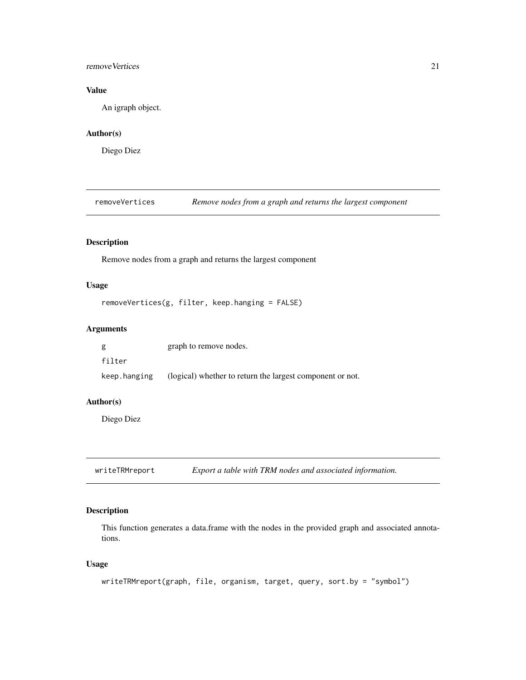#### <span id="page-20-0"></span>removeVertices 21

# Value

An igraph object.

# Author(s)

Diego Diez

removeVertices *Remove nodes from a graph and returns the largest component*

#### Description

Remove nodes from a graph and returns the largest component

#### Usage

```
removeVertices(g, filter, keep.hanging = FALSE)
```
# Arguments

| g            | graph to remove nodes.                                    |
|--------------|-----------------------------------------------------------|
| filter       |                                                           |
| keep.hanging | (logical) whether to return the largest component or not. |

#### Author(s)

Diego Diez

writeTRMreport *Export a table with TRM nodes and associated information.*

# Description

This function generates a data.frame with the nodes in the provided graph and associated annotations.

#### Usage

```
writeTRMreport(graph, file, organism, target, query, sort.by = "symbol")
```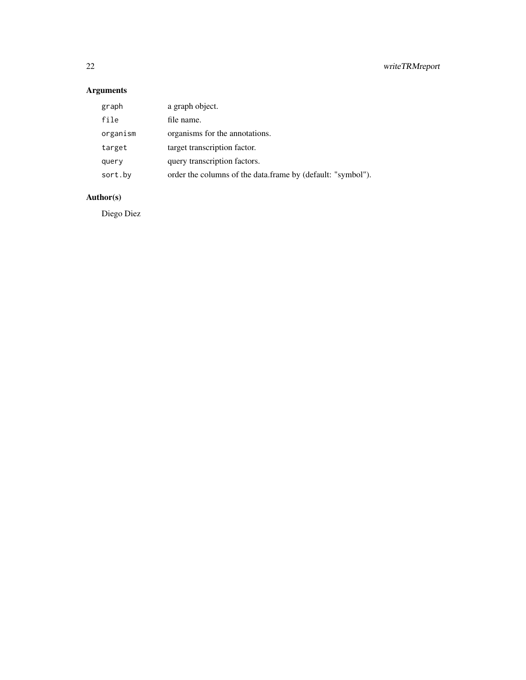# Arguments

| graph    | a graph object.                                             |
|----------|-------------------------------------------------------------|
| file     | file name.                                                  |
| organism | organisms for the annotations.                              |
| target   | target transcription factor.                                |
| query    | query transcription factors.                                |
| sort.by  | order the columns of the data.frame by (default: "symbol"). |

# Author(s)